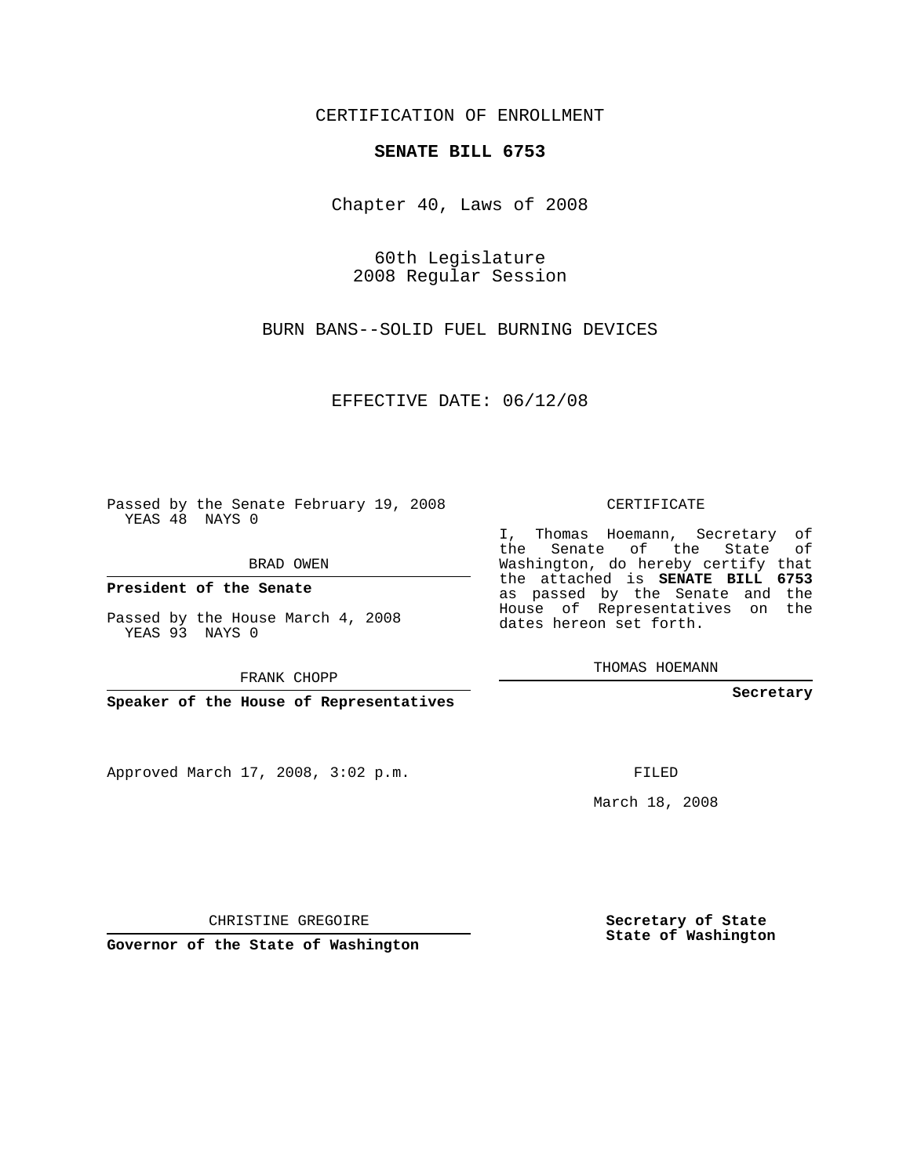CERTIFICATION OF ENROLLMENT

## **SENATE BILL 6753**

Chapter 40, Laws of 2008

60th Legislature 2008 Regular Session

BURN BANS--SOLID FUEL BURNING DEVICES

EFFECTIVE DATE: 06/12/08

Passed by the Senate February 19, 2008 YEAS 48 NAYS 0

BRAD OWEN

**President of the Senate**

Passed by the House March 4, 2008 YEAS 93 NAYS 0

FRANK CHOPP

**Speaker of the House of Representatives**

Approved March 17, 2008, 3:02 p.m.

CERTIFICATE

I, Thomas Hoemann, Secretary of the Senate of the State of Washington, do hereby certify that the attached is **SENATE BILL 6753** as passed by the Senate and the House of Representatives on the dates hereon set forth.

THOMAS HOEMANN

**Secretary**

FILED

March 18, 2008

CHRISTINE GREGOIRE

**Governor of the State of Washington**

**Secretary of State State of Washington**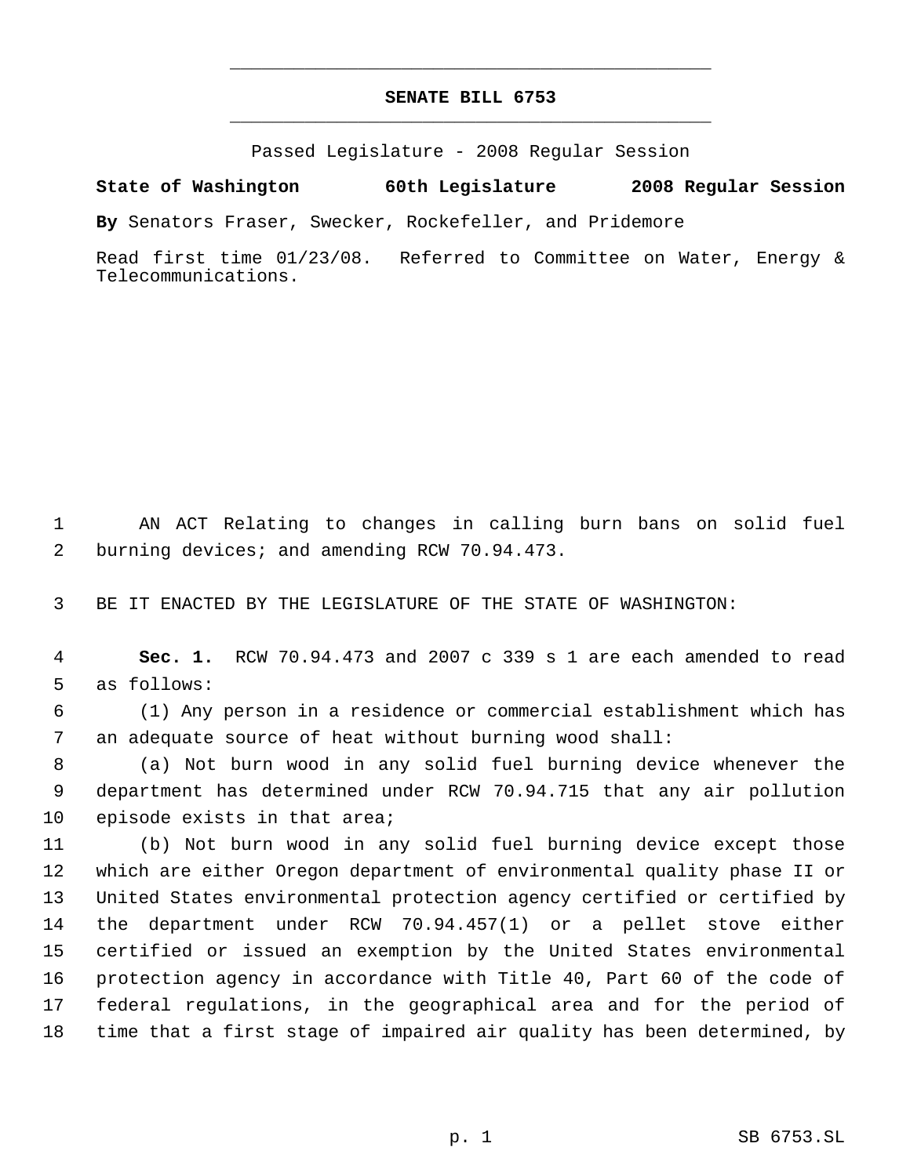## **SENATE BILL 6753** \_\_\_\_\_\_\_\_\_\_\_\_\_\_\_\_\_\_\_\_\_\_\_\_\_\_\_\_\_\_\_\_\_\_\_\_\_\_\_\_\_\_\_\_\_

\_\_\_\_\_\_\_\_\_\_\_\_\_\_\_\_\_\_\_\_\_\_\_\_\_\_\_\_\_\_\_\_\_\_\_\_\_\_\_\_\_\_\_\_\_

Passed Legislature - 2008 Regular Session

**State of Washington 60th Legislature 2008 Regular Session**

**By** Senators Fraser, Swecker, Rockefeller, and Pridemore

Read first time 01/23/08. Referred to Committee on Water, Energy & Telecommunications.

 AN ACT Relating to changes in calling burn bans on solid fuel burning devices; and amending RCW 70.94.473.

BE IT ENACTED BY THE LEGISLATURE OF THE STATE OF WASHINGTON:

 **Sec. 1.** RCW 70.94.473 and 2007 c 339 s 1 are each amended to read as follows:

 (1) Any person in a residence or commercial establishment which has an adequate source of heat without burning wood shall:

 (a) Not burn wood in any solid fuel burning device whenever the department has determined under RCW 70.94.715 that any air pollution 10 episode exists in that area;

 (b) Not burn wood in any solid fuel burning device except those which are either Oregon department of environmental quality phase II or United States environmental protection agency certified or certified by the department under RCW 70.94.457(1) or a pellet stove either certified or issued an exemption by the United States environmental protection agency in accordance with Title 40, Part 60 of the code of federal regulations, in the geographical area and for the period of time that a first stage of impaired air quality has been determined, by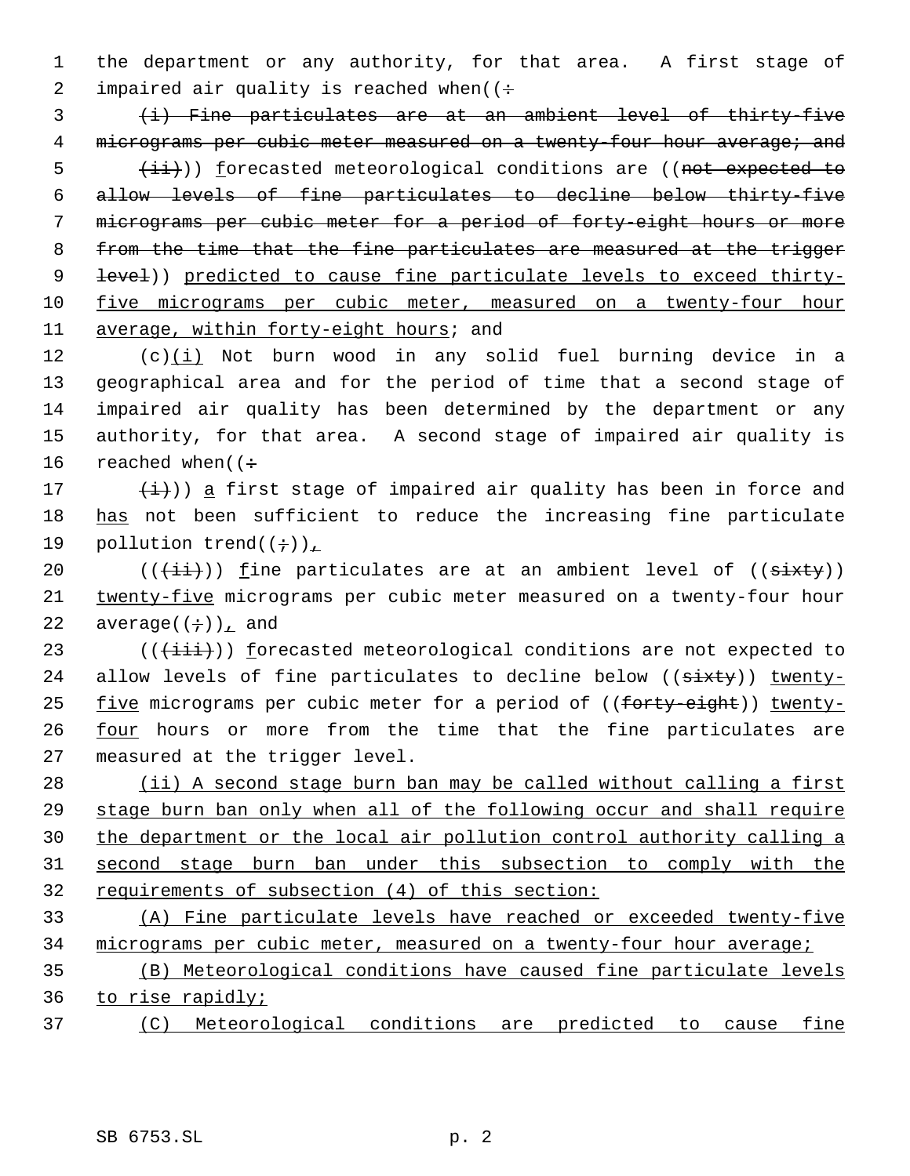1 the department or any authority, for that area. A first stage of 2 impaired air quality is reached when( $($ :

 3 (i) Fine particulates are at an ambient level of thirty-five 4 micrograms per cubic meter measured on a twenty-four hour average; and 5 (ii)) forecasted meteorological conditions are ((not expected to 6 allow levels of fine particulates to decline below thirty-five 7 micrograms per cubic meter for a period of forty-eight hours or more 8 from the time that the fine particulates are measured at the trigger 9 <del>level</del>)) predicted to cause fine particulate levels to exceed thirty-10 five micrograms per cubic meter, measured on a twenty-four hour 11 average, within forty-eight hours; and

12 (c)(i) Not burn wood in any solid fuel burning device in a 13 geographical area and for the period of time that a second stage of 14 impaired air quality has been determined by the department or any 15 authority, for that area. A second stage of impaired air quality is 16 reached when( $\left(\div\right)$ 

17  $(\frac{1}{1})$ ) a first stage of impaired air quality has been in force and 18 has not been sufficient to reduce the increasing fine particulate 19 pollution trend $((\div))_{\perp}$ 

20  $((\overrightarrow{\text{iii}}))$  fine particulates are at an ambient level of  $((\overrightarrow{\text{si}}))$ 21 twenty-five micrograms per cubic meter measured on a twenty-four hour 22 average( $(\div)$ ), and

23  $((\overrightarrow{\text{init}}))$  forecasted meteorological conditions are not expected to 24 allow levels of fine particulates to decline below ((sixty)) twenty-25 five micrograms per cubic meter for a period of ((forty-eight)) twenty-26 four hours or more from the time that the fine particulates are 27 measured at the trigger level.

28 (ii) A second stage burn ban may be called without calling a first stage burn ban only when all of the following occur and shall require the department or the local air pollution control authority calling a second stage burn ban under this subsection to comply with the requirements of subsection (4) of this section:

33 (A) Fine particulate levels have reached or exceeded twenty-five 34 micrograms per cubic meter, measured on a twenty-four hour average;

35 (B) Meteorological conditions have caused fine particulate levels 36 to rise rapidly;

37 (C) Meteorological conditions are predicted to cause fine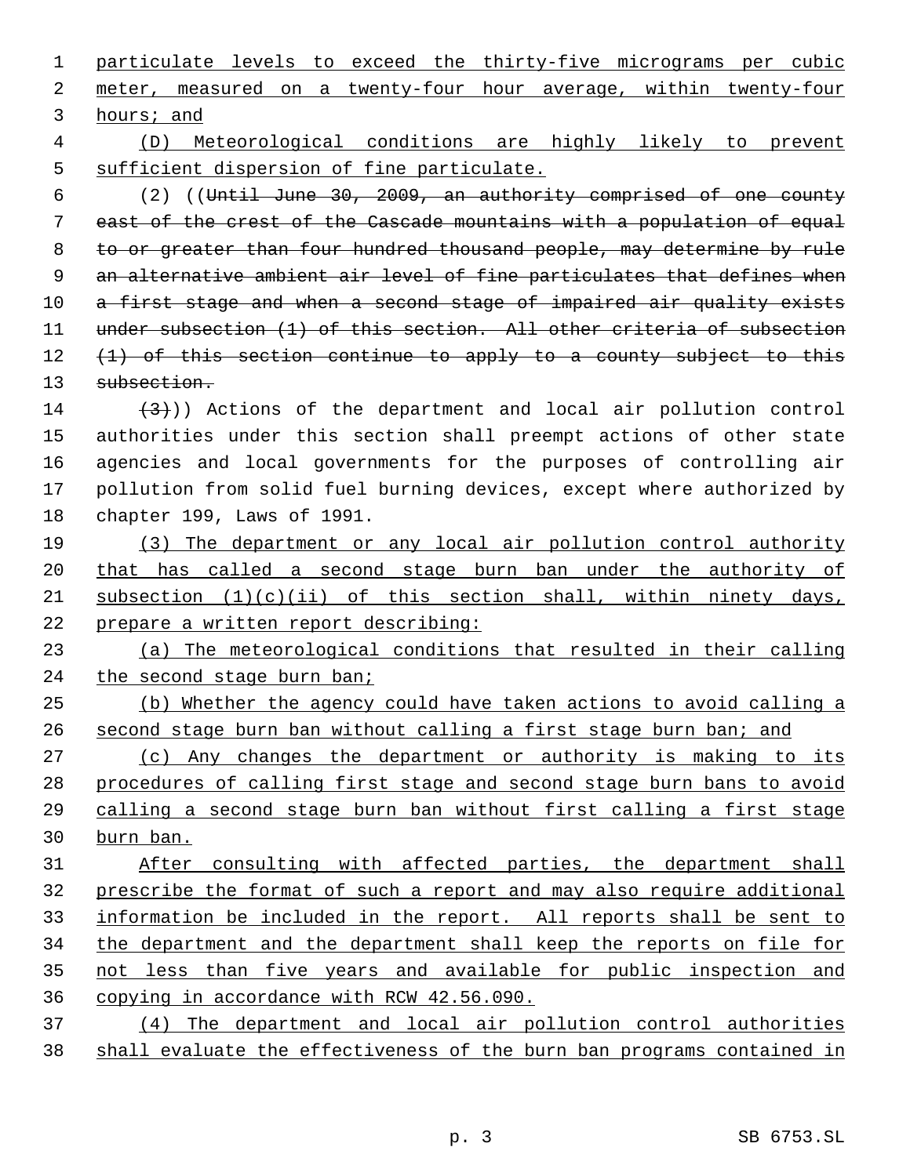particulate levels to exceed the thirty-five micrograms per cubic meter, measured on a twenty-four hour average, within twenty-four hours; and (D) Meteorological conditions are highly likely to prevent sufficient dispersion of fine particulate. (2) ((Until June 30, 2009, an authority comprised of one county east of the crest of the Cascade mountains with a population of equal 8 to or greater than four hundred thousand people, may determine by rule 9 an alternative ambient air level of fine particulates that defines when 10 a first stage and when a second stage of impaired air quality exists 11 under subsection (1) of this section. All other criteria of subsection  $(1)$  of this section continue to apply to a county subject to this subsection.  $(3)$ )) Actions of the department and local air pollution control authorities under this section shall preempt actions of other state agencies and local governments for the purposes of controlling air pollution from solid fuel burning devices, except where authorized by chapter 199, Laws of 1991. (3) The department or any local air pollution control authority that has called a second stage burn ban under the authority of 21 subsection  $(1)(c)(ii)$  of this section shall, within ninety days, prepare a written report describing: (a) The meteorological conditions that resulted in their calling 24 the second stage burn ban; (b) Whether the agency could have taken actions to avoid calling a second stage burn ban without calling a first stage burn ban; and 27 (c) Any changes the department or authority is making to its procedures of calling first stage and second stage burn bans to avoid calling a second stage burn ban without first calling a first stage burn ban. After consulting with affected parties, the department shall prescribe the format of such a report and may also require additional information be included in the report. All reports shall be sent to the department and the department shall keep the reports on file for not less than five years and available for public inspection and copying in accordance with RCW 42.56.090. (4) The department and local air pollution control authorities shall evaluate the effectiveness of the burn ban programs contained in